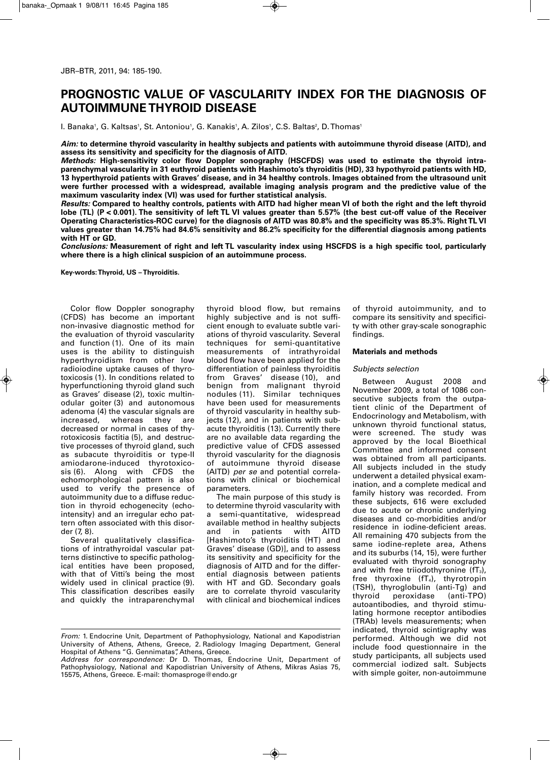# **PROGNOSTIC VALUE OF VASCULARITY INDEX FOR THE DIAGNOSIS OF AUTOIMMUNE THYROID DISEASE**

l. Banaka', G. Kaltsas', St. Antoniou', G. Kanakis', A. Zilos', C.S. Baltas?, D.Thomas'

Aim: to determine thyroid vascularity in healthy subjects and patients with autoimmune thyroid disease (AITD), and **assess its sensitivity and specificity for the diagnosis of AITD.**

*Methods:* **High-sensitivity color flow Doppler sonography (HSCFDS) was used to estimate the thyroid intraparenchymal vascularity in 31 euthyroid patients with Hashimoto's thyroiditis (HD), 33 hypothyroid patients with HD,** 13 hyperthyroid patients with Graves' disease, and in 34 healthy controls. Images obtained from the ultrasound unit **were further processed with a widespread, available imaging analysis program and the predictive value of the maximum vascularity index (VI) was used for further statistical analysis.**

Results: Compared to healthy controls, patients with AITD had higher mean VI of both the right and the left thyroid lobe (TL) (P < 0.001). The sensitivity of left TL VI values greater than 5.57% (the best cut-off value of the Receiver Operating Characteristics-ROC curve) for the diagnosis of AITD was 80.8% and the specificity was 85.3%. Right TL VI values greater than 14.75% had 84.6% sensitivity and 86.2% specificity for the differential diagnosis among patients **with HT or GD.**

Conclusions: Measurement of right and left TL vascularity index using HSCFDS is a high specific tool, particularly **where there is a high clinical suspicion of an autoimmune process.**

**Key-words:Thyroid, US – Thyroiditis.**

Color flow Doppler sonography (CFDS) has become an important non-invasive diagnostic method for the evaluation of thyroid vascularity and function (1). One of its main uses is the ability to distinguish hyperthyroidism from other low radioiodine uptake causes of thyrotoxicosis (1). In conditions related to hyperfunctioning thyroid gland such as Graves' disease (2), toxic multinodular goiter (3) and autonomous adenoma (4) the vascular signals are increased, whereas they are decreased or normal in cases of thyrotoxicosis factitia (5), and destructive processes of thyroid gland, such as subacute thyroiditis or type-II amiodarone-induced thyrotoxicosis (6). Along with CFDS the echomorphological pattern is also used to verify the presence of autoimmunity due to a diffuse reduction in thyroid echogenecity (echointensity) and an irregular echo pattern often associated with this disorder (7, 8).

Several qualitatively classifications of intrathyroidal vascular patterns distinctive to specific pathological entities have been proposed, with that of Vitti's being the most widely used in clinical practice (9). This classification describes easily and quickly the intraparenchymal thyroid blood flow, but remains highly subjective and is not sufficient enough to evaluate subtle variations of thyroid vascularity. Several techniques for semi-quantitative measurements of intrathyroidal blood flow have been applied for the differentiation of painless thyroiditis from Graves' disease (10), and benign from malignant thyroid nodules (11). Similar techniques have been used for measurements of thyroid vascularity in healthy subjects (12), and in patients with subacute thyroiditis (13). Currently there are no available data regarding the predictive value of CFDS assessed thyroid vascularity for the diagnosis of autoimmune thyroid disease (AITD) *per se* and potential correlations with clinical or biochemical parameters.

The main purpose of this study is to determine thyroid vascularity with a semi-quantitative, widespread available method in healthy subjects and in patients with AITD [Hashimoto's thyroiditis (HT) and Graves' disease (GD)], and to assess its sensitivity and specificity for the diagnosis of AITD and for the differential diagnosis between patients with HT and GD. Secondary goals are to correlate thyroid vascularity with clinical and biochemical indices

of thyroid autoimmunity, and to compare its sensitivity and specificity with other gray-scale sonographic findings.

## **Materials and methods**

#### *Subjects selection*

Between August 2008 and November 2009, a total of 1086 consecutive subjects from the outpatient clinic of the Department of Endocrinology and Metabolism, with unknown thyroid functional status, were screened. The study was approved by the local Bioethical Committee and informed consent was obtained from all participants. All subjects included in the study underwent a detailed physical examination, and a complete medical and family history was recorded. From these subjects, 616 were excluded due to acute or chronic underlying diseases and co-morbidities and/or residence in iodine-deficient areas. All remaining 470 subjects from the same iodine-replete area, Athens and its suburbs (14, 15), were further evaluated with thyroid sonography and with free triiodothyronine  $(fT_3)$ , free thyroxine  $(fT<sub>4</sub>)$ , thyrotropin (TSH), thyroglobulin (anti-Tg) and peroxidase autoantibodies, and thyroid stimulating hormone receptor antibodies (TRAb) levels measurements; when indicated, thyroid scintigraphy was performed. Although we did not include food questionnaire in the study participants, all subjects used commercial iodized salt. Subjects with simple goiter, non-autoimmune

*From:* 1. Endocrine Unit, Department of Pathophysiology, National and Kapodistrian University of Athens, Athens, Greece, 2. Radiology Imaging Department, General Hospital of Athens "G. Gennimatas", Athens, Greece.

*Address for correspondence:* Dr D. Thomas, Endocrine Unit, Department of Pathophysiology, National and Kapodistrian University of Athens, Mikras Asias 75, 15575, Athens, Greece. E-mail: thomasproge@endo.gr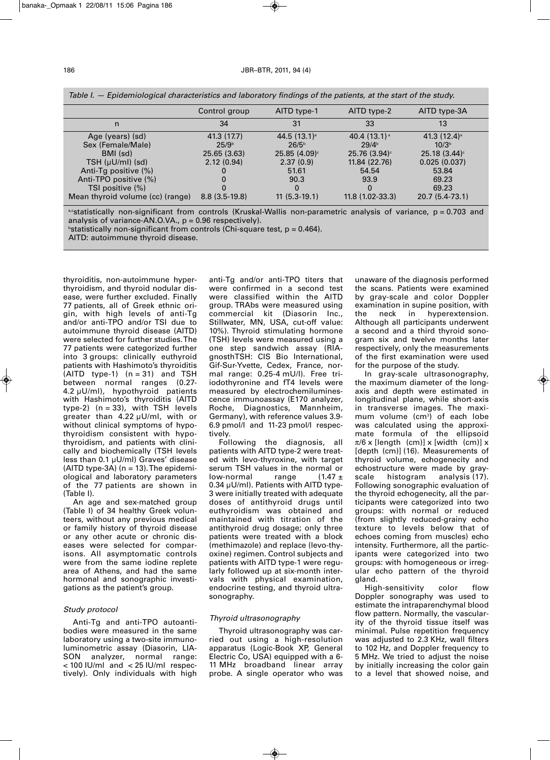|                                  | Control group     | AITD type-1                | AITD type-2                 | AITD type-3A               |
|----------------------------------|-------------------|----------------------------|-----------------------------|----------------------------|
| n                                | 34                | 31                         | 33                          | 13                         |
| Age (years) (sd)                 | 41.3 (17.7)       | $44.5(13.1)^{a}$           | 40.4 $(13.1)$ <sup>a</sup>  | 41.3 $(12.4)$ <sup>a</sup> |
| Sex (Female/Male)                | 25/9 <sup>b</sup> | 26/5 <sup>b</sup>          | 29/4 <sup>b</sup>           | 10/3 <sup>b</sup>          |
| BMI (sd)                         | 25.65 (3.63)      | $25.85(4.09)$ <sup>c</sup> | $25.76$ (3.94) <sup>c</sup> | $25.18(3.44)$ <sup>c</sup> |
| $TSH (µU/ml)$ (sd)               | 2.12(0.94)        | 2.37(0.9)                  | 11.84 (22.76)               | 0.025(0.037)               |
| Anti-Tg positive (%)             |                   | 51.61                      | 54.54                       | 53.84                      |
| Anti-TPO positive (%)            |                   | 90.3                       | 93.9                        | 69.23                      |
| TSI positive (%)                 |                   |                            | $\Omega$                    | 69.23                      |
| Mean thyroid volume (cc) (range) | $8.8(3.5-19.8)$   | $11(5.3-19.1)$             | 11.8 (1.02-33.3)            | 20.7 (5.4-73.1)            |

*Table I. — Epidemiological characteristics and laboratory findings of the patients, at the start of the study.*

a,cstatistically non-significant from controls (Kruskal-Wallis non-parametric analysis of variance, p = 0.703 and analysis of variance-AN.O.VA.,  $p = 0.96$  respectively).

 $^{\circ}$ statistically non-significant from controls (Chi-square test, p = 0.464).

AITD: autoimmune thyroid disease.

thyroiditis, non-autoimmune hyperthyroidism, and thyroid nodular disease, were further excluded. Finally 77 patients, all of Greek ethnic origin, with high levels of anti-Tg and/or anti-TPO and/or TSI due to autoimmune thyroid disease (AITD) were selected for further studies. The 77 patients were categorized further into 3 groups: clinically euthyroid patients with Hashimoto's thyroiditis  $(AITD type-1)$   $(n = 31)$  and TSH between normal ranges (0.27- 4.2 µU/ml), hypothyroid patients with Hashimoto's thyroiditis (AITD type-2)  $(n = 33)$ , with TSH levels greater than 4.22 µU/ml, with or without clinical symptoms of hypothyroidism consistent with hypothyroidism, and patients with clinically and biochemically (TSH levels less than 0.1 µU/ml) Graves' disease  $(AITD type-3A)$  (n = 13). The epidemiological and laboratory parameters of the 77 patients are shown in (Table I).

An age and sex-matched group (Table I) of 34 healthy Greek volunteers, without any previous medical or family history of thyroid disease or any other acute or chronic diseases were selected for comparisons. All asymptomatic controls were from the same iodine replete area of Athens, and had the same hormonal and sonographic investigations as the patient's group.

### *Study protocol*

Anti-Tg and anti-TPO autoantibodies were measured in the same laboratory using a two-site immunoluminometric assay (Diasorin, LIA-SON analyzer, normal range: < 100 IU/ml and < 25 IU/ml respectively). Only individuals with high

anti-Tg and/or anti-TPO titers that were confirmed in a second test were classified within the AITD group. TRAbs were measured using commercial kit (Diasorin Inc., Stillwater, MN, USA, cut-off value: 10%). Thyroid stimulating hormone (TSH) levels were measured using a one step sandwich assay (RIAgnosthTSH: CIS Bio International, Gif-Sur-Yvette, Cedex, France, normal range: 0.25-4 mU/l). Free triiodothyronine and fT4 levels were measured by electrochemiluminescence immunoassay (E170 analyzer, Roche, Diagnostics, Mannheim, Germany), with reference values 3.9- 6.9 pmol/l and 11-23 pmol/l respectively.

Following the diagnosis, all patients with AITD type-2 were treated with levo-thyroxine, with target serum TSH values in the normal or low-normal range  $(1.47 \pm$ 0.34 µU/ml). Patients with AITD type-3 were initially treated with adequate doses of antithyroid drugs until euthyroidism was obtained and maintained with titration of the antithyroid drug dosage; only three patients were treated with a block (methimazole) and replace (levo-thyoxine) regimen. Control subjects and patients with AITD type-1 were regularly followed up at six-month intervals with physical examination, endocrine testing, and thyroid ultrasonography.

### *Thyroid ultrasonography*

Thyroid ultrasonography was carried out using a high-resolution apparatus (Logic-Book XP, General Electric Co, USA) equipped with a 6- 11 MHz broadband linear array probe. A single operator who was

unaware of the diagnosis performed the scans. Patients were examined by gray-scale and color Doppler examination in supine position, with<br>the neck in byperextension neck in hyperextension. Although all participants underwent a second and a third thyroid sonogram six and twelve months later respectively, only the measurements of the first examination were used for the purpose of the study.

In gray-scale ultrasonography, the maximum diameter of the longaxis and depth were estimated in longitudinal plane, while short-axis in transverse images. The maximum volume (cm<sup>3</sup>) of each lobe was calculated using the approximate formula of the ellipsoid  $\pi/6$  x [length (cm)] x [width (cm)] x [depth (cm)] (16). Measurements of thyroid volume, echogenecity and echostructure were made by grayscale histogram analysis (17). Following sonographic evaluation of the thyroid echogenecity, all the participants were categorized into two groups: with normal or reduced (from slightly reduced-grainy echo texture to levels below that of echoes coming from muscles) echo intensity. Furthermore, all the participants were categorized into two groups: with homogeneous or irregular echo pattern of the thyroid gland.

High-sensitivity color flow Doppler sonography was used to estimate the intraparenchymal blood flow pattern. Normally, the vascularity of the thyroid tissue itself was minimal. Pulse repetition frequency was adjusted to 2.3 KHz, wall filters to 102 Hz, and Doppler frequency to 5 MHz. We tried to adjust the noise by initially increasing the color gain to a level that showed noise, and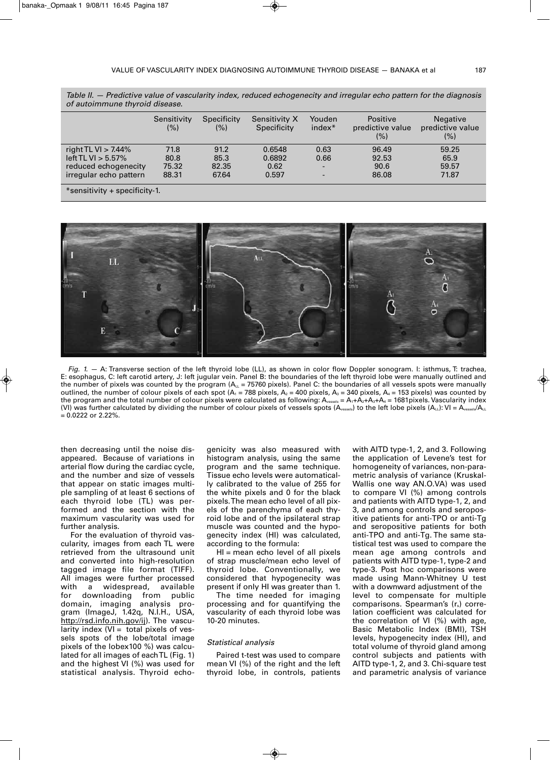|                               | Sensitivity<br>(% ) | Specificity<br>$(\%)$ | Sensitivity X<br>Specificity | Youden<br>$index*$       | Positive<br>predictive value<br>(%) | <b>Negative</b><br>predictive value<br>(%) |  |  |  |
|-------------------------------|---------------------|-----------------------|------------------------------|--------------------------|-------------------------------------|--------------------------------------------|--|--|--|
| right TL VI $>$ 7.44%         | 71.8                | 91.2                  | 0.6548                       | 0.63                     | 96.49                               | 59.25                                      |  |  |  |
| left TL VI $> 5.57\%$         | 80.8                | 85.3                  | 0.6892                       | 0.66                     | 92.53                               | 65.9                                       |  |  |  |
| reduced echogenecity          | 75.32               | 82.35                 | 0.62                         | $\overline{\phantom{a}}$ | 90.6                                | 59.57                                      |  |  |  |
| irregular echo pattern        | 88.31               | 67.64                 | 0.597                        | $\overline{\phantom{0}}$ | 86.08                               | 71.87                                      |  |  |  |
| *sensitivity + specificity-1. |                     |                       |                              |                          |                                     |                                            |  |  |  |

Table II. - Predictive value of vascularity index, reduced echogenecity and irregular echo pattern for the diagnosis *of autoimmune thyroid disease.*



*Fig. 1.* — A: Transverse section of the left thyroid lobe (LL), as shown in color flow Doppler sonogram. I: isthmus, T: trachea, E: esophagus, C: left carotid artery, J: left jugular vein. Panel B: the boundaries of the left thyroid lobe were manually outlined and the number of pixels was counted by the program  $(A<sub>LL</sub> = 75760$  pixels). Panel C: the boundaries of all vessels spots were manually outlined, the number of colour pixels of each spot  $(A_1 = 788$  pixels,  $A_2 = 400$  pixels,  $A_3 = 340$  pixels,  $A_4 = 153$  pixels) was counted by the program and the total number of colour pixels were calculated as following:  $A_{v_{\text{ssels}}} = A_1 + A_2 + A_3 + A_4 = 1681$  pixels. Vascularity index (VI) was further calculated by dividing the number of colour pixels of vessels spots (A<sub>vessels</sub>) to the left lobe pixels (A<sub>LL</sub>): VI = A<sub>vessels</sub>/A<sub>LL</sub> = 0.0222 or 2.22%.

then decreasing until the noise disappeared. Because of variations in arterial flow during the cardiac cycle, and the number and size of vessels that appear on static images multiple sampling of at least 6 sections of each thyroid lobe (TL) was performed and the section with the maximum vascularity was used for further analysis.

For the evaluation of thyroid vascularity, images from each TL were retrieved from the ultrasound unit and converted into high-resolution tagged image file format (TIFF). All images were further processed<br>with a widespread, available with a widespread, for downloading from public domain, imaging analysis program (ImageJ, 1.42q, N.I.H., USA, http://rsd.info.nih.gov/ij). The vascularity index  $(VI =$  total pixels of vessels spots of the lobe/total image pixels of the lobex100 %) was calculated for all images of eachTL (Fig. 1) and the highest VI (%) was used for statistical analysis. Thyroid echo-

genicity was also measured with histogram analysis, using the same program and the same technique. Tissue echo levels were automatically calibrated to the value of 255 for the white pixels and 0 for the black pixels.The mean echo level of all pixels of the parenchyma of each thyroid lobe and of the ipsilateral strap muscle was counted and the hypogenecity index (HI) was calculated, according to the formula:

HI = mean echo level of all pixels of strap muscle/mean echo level of thyroid lobe. Conventionally, we considered that hypogenecity was present if only HI was greater than 1.

The time needed for imaging processing and for quantifying the vascularity of each thyroid lobe was 10-20 minutes.

## *Statistical analysis*

Paired t-test was used to compare mean VI (%) of the right and the left thyroid lobe, in controls, patients with AITD type-1, 2, and 3. Following the application of Levene's test for homogeneity of variances, non-parametric analysis of variance (Kruskal-Wallis one way AN.O.VA) was used to compare VI (%) among controls and patients with AITD type-1, 2, and 3, and among controls and seropositive patients for anti-TPO or anti-Tg and seropositive patients for both anti-TPO and anti-Tg. The same statistical test was used to compare the mean age among controls and patients with AITD type-1, type-2 and type-3. Post hoc comparisons were made using Mann-Whitney U test with a downward adjustment of the level to compensate for multiple comparisons. Spearman's  $(r<sub>s</sub>)$  correlation coefficient was calculated for the correlation of VI (%) with age, Basic Metabolic Index (BMI), TSH levels, hypogenecity index (HI), and total volume of thyroid gland among control subjects and patients with AITD type-1, 2, and 3. Chi-square test and parametric analysis of variance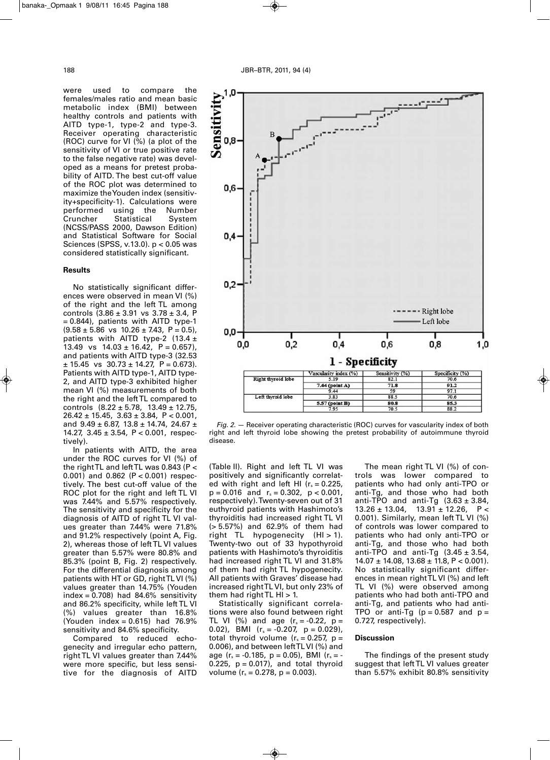

#### **Results**

No statistically significant differences were observed in mean VI (%) of the right and the left TL among controls  $(3.86 \pm 3.91 \text{ vs } 3.78 \pm 3.4)$ , F = 0.844), patients with AITD type-1  $(9.58 \pm 5.86 \text{ vs } 10.26 \pm 7.43, \text{ P} = 0.5)$ , patients with AITD type-2 (13.4  $\pm$ 13.49 vs  $14.03 \pm 16.42$ ,  $P = 0.657$ ), and patients with AITD type-3 (32.53  $± 15.45$  vs  $30.73 ± 14.27$ ,  $P = 0.673$ ). Patients with AITD type-1, AITD type-2, and AITD type-3 exhibited higher mean VI (%) measurements of both the right and the leftTL compared to controls  $(8.22 \pm 5.78, 13.49 \pm 12.75,$  $26.42 \pm 15.45$ ,  $3.63 \pm 3.84$ ,  $P < 0.001$ , and  $9.49 \pm 6.87$ ,  $13.8 \pm 14.74$ , 24.67  $\pm$ 14.27, 3.45 ± 3.54, P < 0.001, respectively).

In patients with AITD, the area under the ROC curves for VI (%) of the rightTL and leftTL was 0.843 (P <  $(0.001)$  and  $0.862$  (P < 0.001) respectively. The best cut-off value of the ROC plot for the right and left TL VI was 7.44% and 5.57% respectively. The sensitivity and specificity for the diagnosis of AITD of right TL VI values greater than 7.44% were 71.8% and 91.2% respectively (point A, Fig. 2), whereas those of leftTL VI values greater than 5.57% were 80.8% and 85.3% (point B, Fig. 2) respectively. For the differential diagnosis among patients with HT or GD, rightTLVI (%) values greater than 14.75% (Youden index =  $0.708$ ) had 84.6% sensitivity and 86.2% specificity, while left TL VI (%) values greater than 16.8% (Youden index = 0.615) had 76.9% sensitivity and 84.6% specificity.

Compared to reduced echogenecity and irregular echo pattern, right TL VI values greater than 7.44% were more specific, but less sensitive for the diagnosis of AITD



*Fig. 2.* — Receiver operating characteristic (ROC) curves for vascularity index of both right and left thyroid lobe showing the pretest probability of autoimmune thyroid disease.

(Table II). Right and left TL VI was positively and significantly correlated with right and left HI  $(r_s = 0.225,$  $p = 0.016$  and  $r_s = 0.302$ ,  $p < 0.001$ , respectively).Twenty-seven out of 31 euthyroid patients with Hashimoto's thyroiditis had increased right TL VI (> 5.57%) and 62.9% of them had right TL hypogenecity (HI > 1). Twenty-two out of 33 hypothyroid patients with Hashimoto's thyroiditis had increased right TL VI and 31.8% of them had right TL hypogenecity. All patients with Graves' disease had increased rightTL VI, but only 23% of them had right  $TL$  HI  $> 1$ .

Statistically significant correlations were also found between right TL VI (%) and age  $(r_s = -0.22, p =$ 0.02), BMI ( $r_s = -0.207$ ,  $p = 0.029$ ), total thyroid volume ( $r_s = 0.257$ , p = 0.006), and between leftTLVI (%) and age ( $r_s = -0.185$ ,  $p = 0.05$ ), BMI ( $r_s = -0.05$ 0.225,  $p = 0.017$ ), and total thyroid volume  $(r_s = 0.278, p = 0.003)$ .

The mean right TL VI (%) of controls was lower compared to patients who had only anti-TPO or anti-Tg, and those who had both anti-TPO and anti-Tg  $(3.63 \pm 3.84,$  $13.26 \pm 13.04$ ,  $13.91 \pm 12.26$ , P< 0.001). Similarly, mean left TL VI (%) of controls was lower compared to patients who had only anti-TPO or anti-Tg, and those who had both anti-TPO and anti-Tg  $(3.45 \pm 3.54,$  $14.07 \pm 14.08$ ,  $13.68 \pm 11.8$ , P < 0.001). No statistically significant differences in mean rightTL VI (%) and left TL VI (%) were observed among patients who had both anti-TPO and anti-Tg, and patients who had anti-TPO or anti-Tg ( $p = 0.587$  and  $p =$ 0.727, respectively).

#### **Discussion**

The findings of the present study suggest that left TL VI values greater than 5.57% exhibit 80.8% sensitivity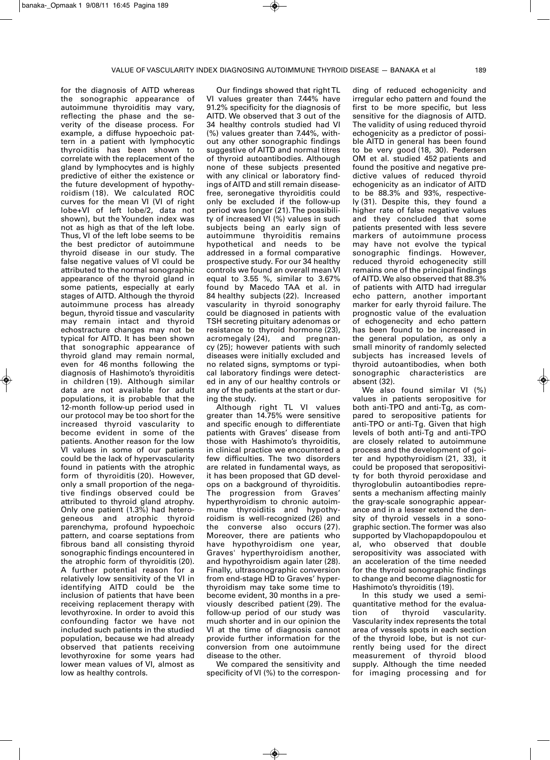for the diagnosis of AITD whereas the sonographic appearance of autoimmune thyroiditis may vary, reflecting the phase and the severity of the disease process. For example, a diffuse hypoechoic pattern in a patient with lymphocytic thyroiditis has been shown to correlate with the replacement of the gland by lymphocytes and is highly predictive of either the existence or the future development of hypothyroidism (18). We calculated ROC curves for the mean VI (VI of right lobe+VI of left lobe/2, data not shown), but the Younden index was not as high as that of the left lobe. Thus, VI of the left lobe seems to be the best predictor of autoimmune thyroid disease in our study. The false negative values of VI could be attributed to the normal sonographic appearance of the thyroid gland in some patients, especially at early stages of AITD. Although the thyroid autoimmune process has already begun, thyroid tissue and vascularity may remain intact and thyroid echostracture changes may not be typical for AITD. It has been shown that sonographic appearance of thyroid gland may remain normal, even for 46 months following the diagnosis of Hashimoto's thyroiditis in children (19). Although similar data are not available for adult populations, it is probable that the 12-month follow-up period used in our protocol may be too short for the increased thyroid vascularity to become evident in some of the patients. Another reason for the low VI values in some of our patients could be the lack of hypervascularity found in patients with the atrophic form of thyroiditis (20). However, only a small proportion of the negative findings observed could be attributed to thyroid gland atrophy. Only one patient (1.3%) had heterogeneous and atrophic thyroid parenchyma, profound hypoechoic pattern, and coarse septations from fibrous band all consisting thyroid sonographic findings encountered in the atrophic form of thyroiditis (20). A further potential reason for a relatively low sensitivity of the VI in identifying AITD could be the inclusion of patients that have been receiving replacement therapy with levothyroxine. In order to avoid this confounding factor we have not included such patients in the studied population, because we had already observed that patients receiving levothyroxine for some years had lower mean values of VI, almost as low as healthy controls.

Our findings showed that right TL VI values greater than 7.44% have 91.2% specificity for the diagnosis of AITD. We observed that 3 out of the 34 healthy controls studied had VI (%) values greater than 7.44%, without any other sonographic findings suggestive of AITD and normal titres of thyroid autoantibodies. Although none of these subjects presented with any clinical or laboratory findings of AITD and still remain diseasefree, seronegative thyroiditis could only be excluded if the follow-up period was longer (21). The possibility of increased VI (%) values in such subjects being an early sign of autoimmune thyroiditis remains hypothetical and needs to be addressed in a formal comparative prospective study. For our 34 healthy controls we found an overall mean VI equal to 3.55 %, similar to 3.67% found by Macedo TAA et al. in 84 healthy subjects (22). Increased vascularity in thyroid sonography could be diagnosed in patients with TSH secreting pituitary adenomas or resistance to thyroid hormone (23), acromegaly (24), and pregnancy (25); however patients with such diseases were initially excluded and no related signs, symptoms or typical laboratory findings were detected in any of our healthy controls or any of the patients at the start or during the study.

Although right TL VI values greater than 14.75% were sensitive and specific enough to differentiate patients with Graves' disease from those with Hashimoto's thyroiditis, in clinical practice we encountered a few difficulties. The two disorders are related in fundamental ways, as it has been proposed that GD develops on a background of thyroiditis. The progression from Graves' hyperthyroidism to chronic autoimmune thyroiditis and hypothyroidism is well-recognized (26) and the converse also occurs (27). Moreover, there are patients who have hypothyroidism one year, Graves' hyperthyroidism another, and hypothyroidism again later (28). Finally, ultrasonographic conversion from end-stage HD to Graves' hyperthyroidism may take some time to become evident, 30 months in a previously described patient (29). The follow-up period of our study was much shorter and in our opinion the VI at the time of diagnosis cannot provide further information for the conversion from one autoimmune disease to the other.

We compared the sensitivity and specificity of VI (%) to the correspon-

ding of reduced echogenicity and irregular echo pattern and found the first to be more specific, but less sensitive for the diagnosis of AITD. The validity of using reduced thyroid echogenicity as a predictor of possible AITD in general has been found to be very good (18, 30). Pedersen OM et al. studied 452 patients and found the positive and negative predictive values of reduced thyroid echogenicity as an indicator of AITD to be 88.3% and 93%, respectively (31). Despite this, they found a higher rate of false negative values and they concluded that some patients presented with less severe markers of autoimmune process may have not evolve the typical sonographic findings. However, reduced thyroid echogenecity still remains one of the principal findings of AITD.We also observed that 88.3% of patients with AITD had irregular echo pattern, another important marker for early thyroid failure. The prognostic value of the evaluation of echogenecity and echo pattern has been found to be increased in the general population, as only a small minority of randomly selected subjects has increased levels of thyroid autoantibodies, when both sonographic characteristics are absent (32).

We also found similar VI (%) values in patients seropositive for both anti-TPO and anti-Tg, as compared to seropositive patients for anti-TPO or anti-Tg. Given that high levels of both anti-Tg and anti-TPO are closely related to autoimmune process and the development of goiter and hypothyroidism (21, 33), it could be proposed that seropositivity for both thyroid peroxidase and thyroglobulin autoantibodies represents a mechanism affecting mainly the gray-scale sonographic appearance and in a lesser extend the density of thyroid vessels in a sonographic section.The former was also supported by Vlachopapdopoulou et al, who observed that double seropositivity was associated with an acceleration of the time needed for the thyroid sonographic findings to change and become diagnostic for Hashimoto's thyroiditis (19).

In this study we used a semiquantitative method for the evalua-<br>tion of thyroid vascularity. tion of thyroid vascularity. Vascularity index represents the total area of vessels spots in each section of the thyroid lobe, but is not currently being used for the direct measurement of thyroid blood supply. Although the time needed for imaging processing and for